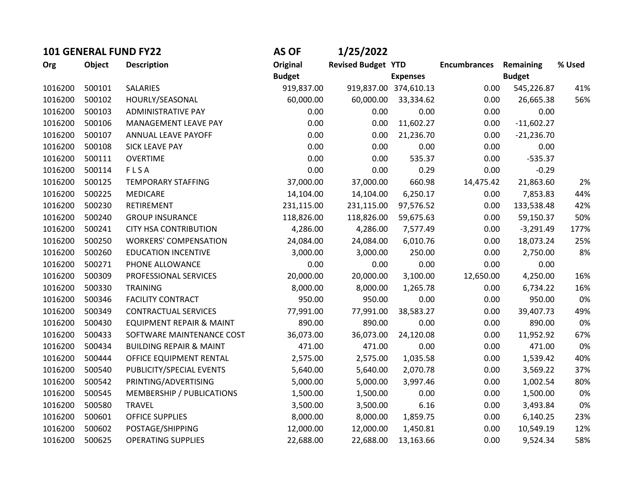| <b>101 GENERAL FUND FY22</b> |        |                                    | <b>AS OF</b>  | 1/25/2022                 |                       |                     |               |        |
|------------------------------|--------|------------------------------------|---------------|---------------------------|-----------------------|---------------------|---------------|--------|
| Org                          | Object | <b>Description</b>                 | Original      | <b>Revised Budget YTD</b> |                       | <b>Encumbrances</b> | Remaining     | % Used |
|                              |        |                                    | <b>Budget</b> |                           | <b>Expenses</b>       |                     | <b>Budget</b> |        |
| 1016200                      | 500101 | <b>SALARIES</b>                    | 919,837.00    |                           | 919,837.00 374,610.13 | 0.00                | 545,226.87    | 41%    |
| 1016200                      | 500102 | HOURLY/SEASONAL                    | 60,000.00     | 60,000.00                 | 33,334.62             | 0.00                | 26,665.38     | 56%    |
| 1016200                      | 500103 | <b>ADMINISTRATIVE PAY</b>          | 0.00          | 0.00                      | 0.00                  | 0.00                | 0.00          |        |
| 1016200                      | 500106 | MANAGEMENT LEAVE PAY               | 0.00          | 0.00                      | 11,602.27             | 0.00                | $-11,602.27$  |        |
| 1016200                      | 500107 | ANNUAL LEAVE PAYOFF                | 0.00          | 0.00                      | 21,236.70             | 0.00                | $-21,236.70$  |        |
| 1016200                      | 500108 | <b>SICK LEAVE PAY</b>              | 0.00          | 0.00                      | 0.00                  | 0.00                | 0.00          |        |
| 1016200                      | 500111 | <b>OVERTIME</b>                    | 0.00          | 0.00                      | 535.37                | 0.00                | $-535.37$     |        |
| 1016200                      | 500114 | FLSA                               | 0.00          | 0.00                      | 0.29                  | 0.00                | $-0.29$       |        |
| 1016200                      | 500125 | <b>TEMPORARY STAFFING</b>          | 37,000.00     | 37,000.00                 | 660.98                | 14,475.42           | 21,863.60     | 2%     |
| 1016200                      | 500225 | <b>MEDICARE</b>                    | 14,104.00     | 14,104.00                 | 6,250.17              | 0.00                | 7,853.83      | 44%    |
| 1016200                      | 500230 | RETIREMENT                         | 231,115.00    | 231,115.00                | 97,576.52             | 0.00                | 133,538.48    | 42%    |
| 1016200                      | 500240 | <b>GROUP INSURANCE</b>             | 118,826.00    | 118,826.00                | 59,675.63             | 0.00                | 59,150.37     | 50%    |
| 1016200                      | 500241 | <b>CITY HSA CONTRIBUTION</b>       | 4,286.00      | 4,286.00                  | 7,577.49              | 0.00                | $-3,291.49$   | 177%   |
| 1016200                      | 500250 | <b>WORKERS' COMPENSATION</b>       | 24,084.00     | 24,084.00                 | 6,010.76              | 0.00                | 18,073.24     | 25%    |
| 1016200                      | 500260 | <b>EDUCATION INCENTIVE</b>         | 3,000.00      | 3,000.00                  | 250.00                | 0.00                | 2,750.00      | 8%     |
| 1016200                      | 500271 | PHONE ALLOWANCE                    | 0.00          | 0.00                      | 0.00                  | 0.00                | 0.00          |        |
| 1016200                      | 500309 | PROFESSIONAL SERVICES              | 20,000.00     | 20,000.00                 | 3,100.00              | 12,650.00           | 4,250.00      | 16%    |
| 1016200                      | 500330 | <b>TRAINING</b>                    | 8,000.00      | 8,000.00                  | 1,265.78              | 0.00                | 6,734.22      | 16%    |
| 1016200                      | 500346 | <b>FACILITY CONTRACT</b>           | 950.00        | 950.00                    | 0.00                  | 0.00                | 950.00        | 0%     |
| 1016200                      | 500349 | <b>CONTRACTUAL SERVICES</b>        | 77,991.00     | 77,991.00                 | 38,583.27             | 0.00                | 39,407.73     | 49%    |
| 1016200                      | 500430 | EQUIPMENT REPAIR & MAINT           | 890.00        | 890.00                    | 0.00                  | 0.00                | 890.00        | 0%     |
| 1016200                      | 500433 | SOFTWARE MAINTENANCE COST          | 36,073.00     | 36,073.00                 | 24,120.08             | 0.00                | 11,952.92     | 67%    |
| 1016200                      | 500434 | <b>BUILDING REPAIR &amp; MAINT</b> | 471.00        | 471.00                    | 0.00                  | 0.00                | 471.00        | 0%     |
| 1016200                      | 500444 | OFFICE EQUIPMENT RENTAL            | 2,575.00      | 2,575.00                  | 1,035.58              | 0.00                | 1,539.42      | 40%    |
| 1016200                      | 500540 | PUBLICITY/SPECIAL EVENTS           | 5,640.00      | 5,640.00                  | 2,070.78              | 0.00                | 3,569.22      | 37%    |
| 1016200                      | 500542 | PRINTING/ADVERTISING               | 5,000.00      | 5,000.00                  | 3,997.46              | 0.00                | 1,002.54      | 80%    |
| 1016200                      | 500545 | MEMBERSHIP / PUBLICATIONS          | 1,500.00      | 1,500.00                  | 0.00                  | 0.00                | 1,500.00      | 0%     |
| 1016200                      | 500580 | <b>TRAVEL</b>                      | 3,500.00      | 3,500.00                  | 6.16                  | 0.00                | 3,493.84      | 0%     |
| 1016200                      | 500601 | OFFICE SUPPLIES                    | 8,000.00      | 8,000.00                  | 1,859.75              | 0.00                | 6,140.25      | 23%    |
| 1016200                      | 500602 | POSTAGE/SHIPPING                   | 12,000.00     | 12,000.00                 | 1,450.81              | 0.00                | 10,549.19     | 12%    |
| 1016200                      | 500625 | <b>OPERATING SUPPLIES</b>          | 22,688.00     | 22,688.00                 | 13,163.66             | 0.00                | 9,524.34      | 58%    |